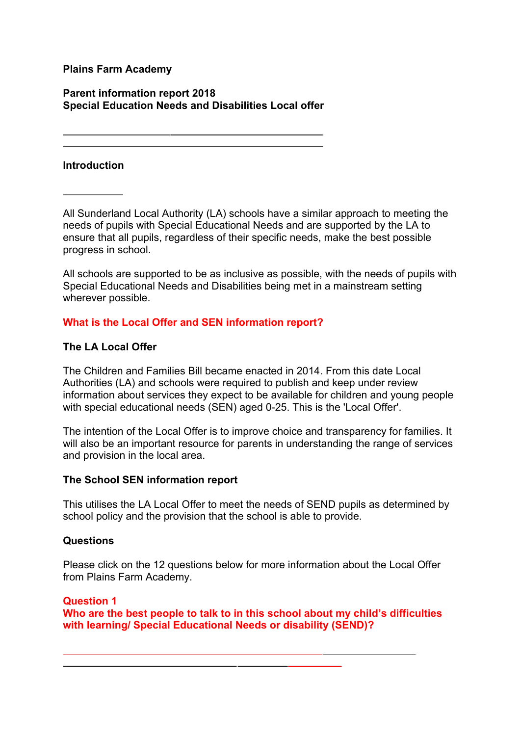## **Plains Farm Academy**

## **Parent information report 2018 Special Education Needs and Disabilities Local offer**

## **Introduction**

All Sunderland Local Authority (LA) schools have a similar approach to meeting the needs of pupils with Special Educational Needs and are supported by the LA to ensure that all pupils, regardless of their specific needs, make the best possible progress in school.

All schools are supported to be as inclusive as possible, with the needs of pupils with Special Educational Needs and Disabilities being met in a mainstream setting wherever possible.

# **What is the Local Offer and SEN information report?**

# **The LA Local Offer**

The Children and Families Bill became enacted in 2014. From this date Local Authorities (LA) and schools were required to publish and keep under review information about services they expect to be available for children and young people with special educational needs (SEN) aged 0-25. This is the 'Local Offer'.

The intention of the Local Offer is to improve choice and transparency for families. It will also be an important resource for parents in understanding the range of services and provision in the local area.

## **The School SEN information report**

This utilises the LA Local Offer to meet the needs of SEND pupils as determined by school policy and the provision that the school is able to provide.

## **Questions**

Please click on the 12 questions below for more information about the Local Offer from Plains Farm Academy.

## **Question 1**

**Who are the best people to talk to in this school about my child's difficulties with learning/ Special Educational Needs or disability (SEND)?**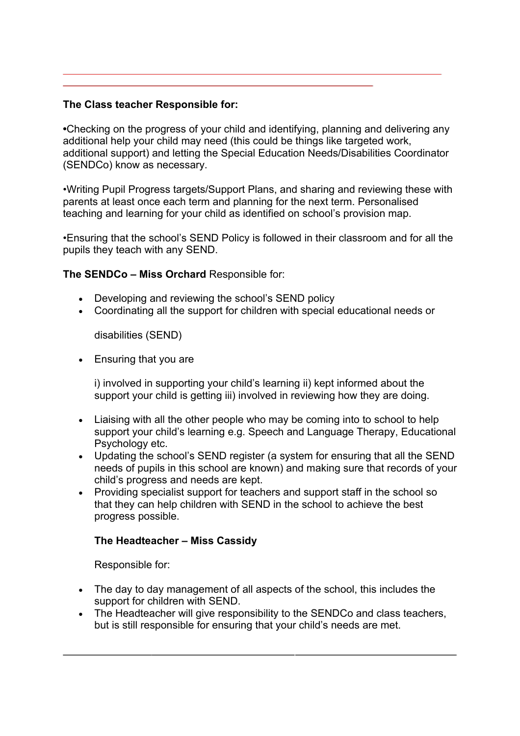## **The Class teacher Responsible for:**

**•**Checking on the progress of your child and identifying, planning and delivering any additional help your child may need (this could be things like targeted work, additional support) and letting the Special Education Needs/Disabilities Coordinator (SENDCo) know as necessary.

•Writing Pupil Progress targets/Support Plans, and sharing and reviewing these with parents at least once each term and planning for the next term. Personalised teaching and learning for your child as identified on school's provision map.

•Ensuring that the school's SEND Policy is followed in their classroom and for all the pupils they teach with any SEND.

## **The SENDCo – Miss Orchard** Responsible for:

- Developing and reviewing the school's SEND policy
- Coordinating all the support for children with special educational needs or

disabilities (SEND)

• Ensuring that you are

i) involved in supporting your child's learning ii) kept informed about the support your child is getting iii) involved in reviewing how they are doing.

- Liaising with all the other people who may be coming into to school to help support your child's learning e.g. Speech and Language Therapy, Educational Psychology etc.
- Updating the school's SEND register (a system for ensuring that all the SEND needs of pupils in this school are known) and making sure that records of your child's progress and needs are kept.
- Providing specialist support for teachers and support staff in the school so that they can help children with SEND in the school to achieve the best progress possible.

## **The Headteacher – Miss Cassidy**

Responsible for:

- The day to day management of all aspects of the school, this includes the support for children with SEND.
- The Headteacher will give responsibility to the SENDCo and class teachers, but is still responsible for ensuring that your child's needs are met.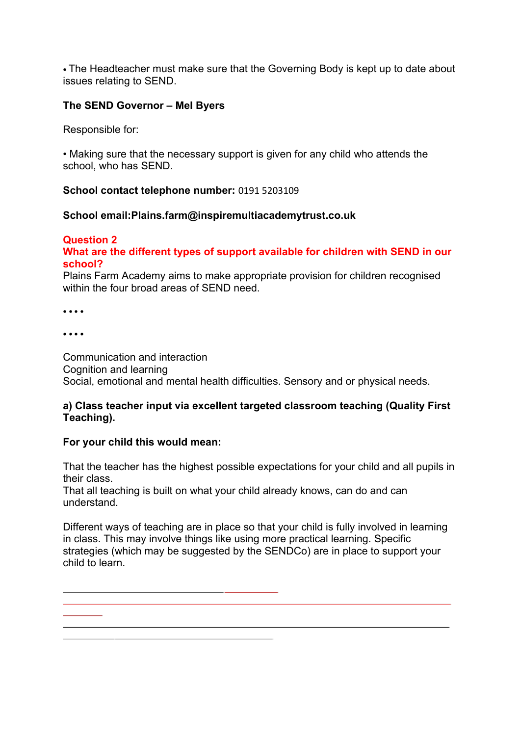• The Headteacher must make sure that the Governing Body is kept up to date about issues relating to SEND.

## **The SEND Governor – Mel Byers**

Responsible for:

• Making sure that the necessary support is given for any child who attends the school, who has SEND.

### **School contact telephone number:** 0191 5203109

### **School email:Plains.farm@inspiremultiacademytrust.co.uk**

## **Question 2**

## **What are the different types of support available for children with SEND in our school?**

Plains Farm Academy aims to make appropriate provision for children recognised within the four broad areas of SEND need.

• • • • 

• • • • 

Communication and interaction Cognition and learning Social, emotional and mental health difficulties. Sensory and or physical needs.

## **a) Class teacher input via excellent targeted classroom teaching (Quality First Teaching).**

## **For your child this would mean:**

That the teacher has the highest possible expectations for your child and all pupils in their class.

That all teaching is built on what your child already knows, can do and can understand.

Different ways of teaching are in place so that your child is fully involved in learning in class. This may involve things like using more practical learning. Specific strategies (which may be suggested by the SENDCo) are in place to support your child to learn.

 $\mathcal{L}^{\text{max}}$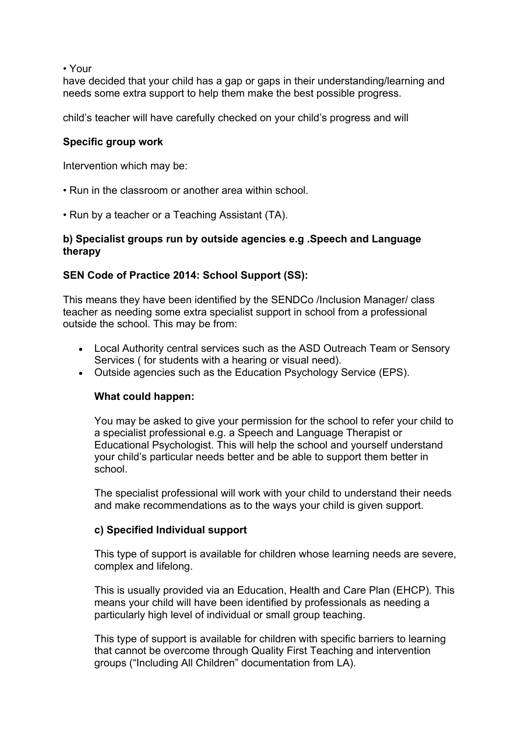• Your

have decided that your child has a gap or gaps in their understanding/learning and needs some extra support to help them make the best possible progress.

child's teacher will have carefully checked on your child's progress and will

### **Specific group work**

Intervention which may be:

- Run in the classroom or another area within school.
- Run by a teacher or a Teaching Assistant (TA).

## **b) Specialist groups run by outside agencies e.g .Speech and Language therapy**

## **SEN Code of Practice 2014: School Support (SS):**

This means they have been identified by the SENDCo /Inclusion Manager/ class teacher as needing some extra specialist support in school from a professional outside the school. This may be from:

- Local Authority central services such as the ASD Outreach Team or Sensory Services ( for students with a hearing or visual need).
- Outside agencies such as the Education Psychology Service (EPS).

#### **What could happen:**

You may be asked to give your permission for the school to refer your child to a specialist professional e.g. a Speech and Language Therapist or Educational Psychologist. This will help the school and yourself understand your child's particular needs better and be able to support them better in school.

The specialist professional will work with your child to understand their needs and make recommendations as to the ways your child is given support.

#### **c) Specified Individual support**

This type of support is available for children whose learning needs are severe, complex and lifelong.

This is usually provided via an Education, Health and Care Plan (EHCP). This means your child will have been identified by professionals as needing a particularly high level of individual or small group teaching.

This type of support is available for children with specific barriers to learning that cannot be overcome through Quality First Teaching and intervention groups ("Including All Children" documentation from LA).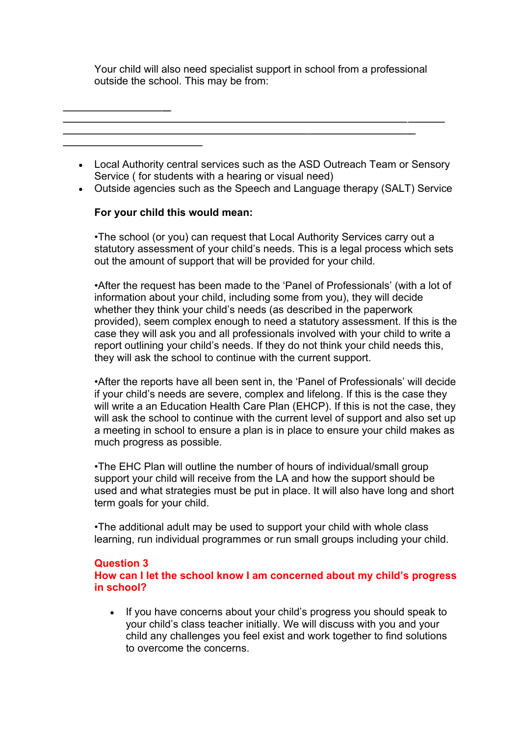Your child will also need specialist support in school from a professional outside the school. This may be from:

- Local Authority central services such as the ASD Outreach Team or Sensory Service ( for students with a hearing or visual need)
- Outside agencies such as the Speech and Language therapy (SALT) Service

## **For your child this would mean:**

•The school (or you) can request that Local Authority Services carry out a statutory assessment of your child's needs. This is a legal process which sets out the amount of support that will be provided for your child.

•After the request has been made to the 'Panel of Professionals' (with a lot of information about your child, including some from you), they will decide whether they think your child's needs (as described in the paperwork provided), seem complex enough to need a statutory assessment. If this is the case they will ask you and all professionals involved with your child to write a report outlining your child's needs. If they do not think your child needs this, they will ask the school to continue with the current support.

•After the reports have all been sent in, the 'Panel of Professionals' will decide if your child's needs are severe, complex and lifelong. If this is the case they will write a an Education Health Care Plan (EHCP). If this is not the case, they will ask the school to continue with the current level of support and also set up a meeting in school to ensure a plan is in place to ensure your child makes as much progress as possible.

•The EHC Plan will outline the number of hours of individual/small group support your child will receive from the LA and how the support should be used and what strategies must be put in place. It will also have long and short term goals for your child.

•The additional adult may be used to support your child with whole class learning, run individual programmes or run small groups including your child.

## **Question 3**

**How can I let the school know I am concerned about my child's progress in school?** 

• If you have concerns about your child's progress you should speak to your child's class teacher initially. We will discuss with you and your child any challenges you feel exist and work together to find solutions to overcome the concerns.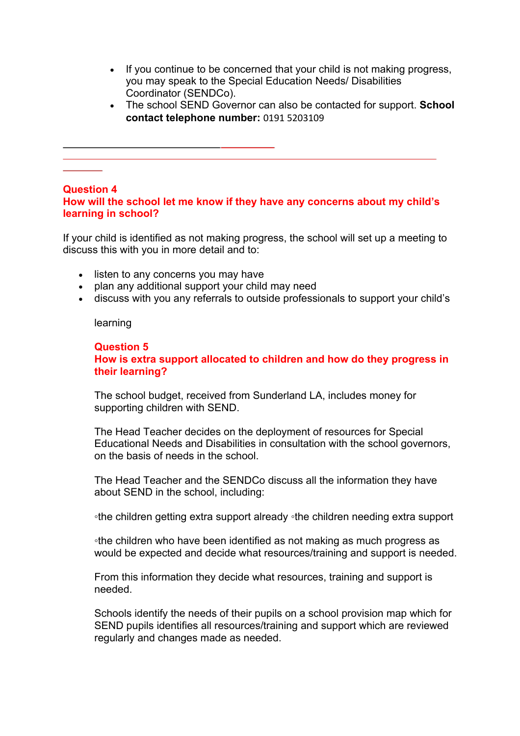- If you continue to be concerned that your child is not making progress, you may speak to the Special Education Needs/ Disabilities Coordinator (SENDCo).
- The school SEND Governor can also be contacted for support. **School contact telephone number:** 0191 5203109

#### **Question 4**

## **How will the school let me know if they have any concerns about my child's learning in school?**

If your child is identified as not making progress, the school will set up a meeting to discuss this with you in more detail and to:

- listen to any concerns you may have
- plan any additional support your child may need
- discuss with you any referrals to outside professionals to support your child's

learning

### **Question 5 How is extra support allocated to children and how do they progress in their learning?**

The school budget, received from Sunderland LA, includes money for supporting children with SEND.

The Head Teacher decides on the deployment of resources for Special Educational Needs and Disabilities in consultation with the school governors, on the basis of needs in the school.

The Head Teacher and the SENDCo discuss all the information they have about SEND in the school, including:

◦the children getting extra support already ◦the children needing extra support

◦the children who have been identified as not making as much progress as would be expected and decide what resources/training and support is needed.

From this information they decide what resources, training and support is needed.

Schools identify the needs of their pupils on a school provision map which for SEND pupils identifies all resources/training and support which are reviewed regularly and changes made as needed.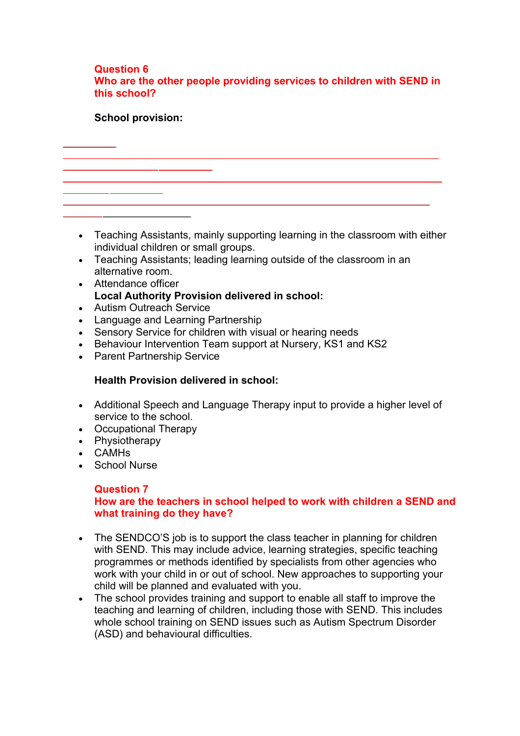### **Question 6 Who are the other people providing services to children with SEND in this school?**

## **School provision:**

• Teaching Assistants, mainly supporting learning in the classroom with either individual children or small groups.

- Teaching Assistants; leading learning outside of the classroom in an alternative room.
- Attendance officer **Local Authority Provision delivered in school:**
- Autism Outreach Service
- Language and Learning Partnership
- Sensory Service for children with visual or hearing needs
- Behaviour Intervention Team support at Nursery, KS1 and KS2
- Parent Partnership Service

## **Health Provision delivered in school:**

- Additional Speech and Language Therapy input to provide a higher level of service to the school.
- Occupational Therapy
- Physiotherapy
- CAMHs
- School Nurse

# **Question 7**

# **How are the teachers in school helped to work with children a SEND and what training do they have?**

- The SENDCO'S job is to support the class teacher in planning for children with SEND. This may include advice, learning strategies, specific teaching programmes or methods identified by specialists from other agencies who work with your child in or out of school. New approaches to supporting your child will be planned and evaluated with you.
- The school provides training and support to enable all staff to improve the teaching and learning of children, including those with SEND. This includes whole school training on SEND issues such as Autism Spectrum Disorder (ASD) and behavioural difficulties.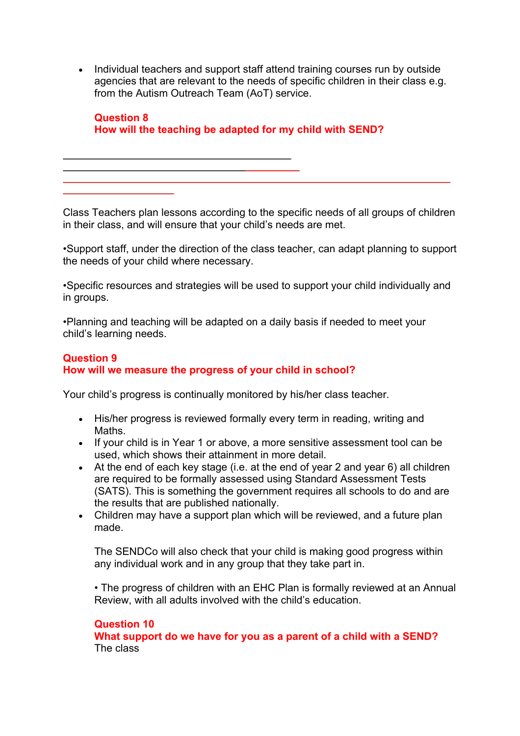• Individual teachers and support staff attend training courses run by outside agencies that are relevant to the needs of specific children in their class e.g. from the Autism Outreach Team (AoT) service.

**Question 8 How will the teaching be adapted for my child with SEND?** 

Class Teachers plan lessons according to the specific needs of all groups of children in their class, and will ensure that your child's needs are met.

•Support staff, under the direction of the class teacher, can adapt planning to support the needs of your child where necessary.

•Specific resources and strategies will be used to support your child individually and in groups.

•Planning and teaching will be adapted on a daily basis if needed to meet your child's learning needs.

## **Question 9 How will we measure the progress of your child in school?**

Your child's progress is continually monitored by his/her class teacher.

- His/her progress is reviewed formally every term in reading, writing and Maths.
- If your child is in Year 1 or above, a more sensitive assessment tool can be used, which shows their attainment in more detail.
- At the end of each key stage (i.e. at the end of year 2 and year 6) all children are required to be formally assessed using Standard Assessment Tests (SATS). This is something the government requires all schools to do and are the results that are published nationally.
- Children may have a support plan which will be reviewed, and a future plan made.

The SENDCo will also check that your child is making good progress within any individual work and in any group that they take part in.

• The progress of children with an EHC Plan is formally reviewed at an Annual Review, with all adults involved with the child's education.

# **Question 10**

**What support do we have for you as a parent of a child with a SEND?**  The class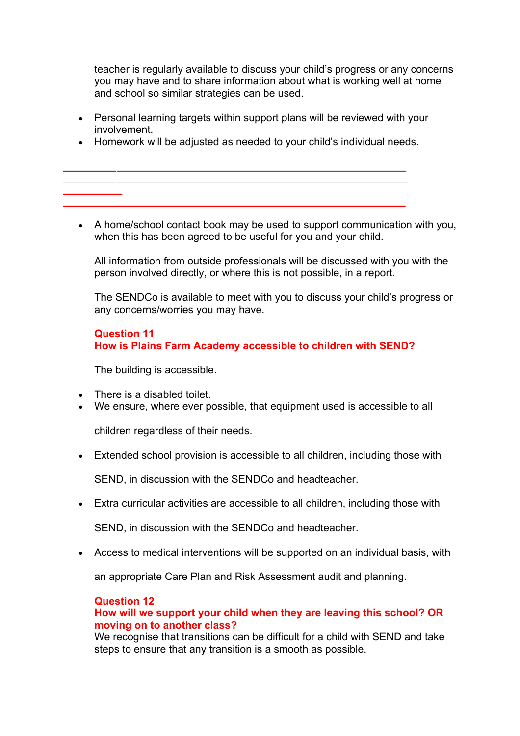teacher is regularly available to discuss your child's progress or any concerns you may have and to share information about what is working well at home and school so similar strategies can be used.

- Personal learning targets within support plans will be reviewed with your involvement.
- Homework will be adjusted as needed to your child's individual needs.
- A home/school contact book may be used to support communication with you, when this has been agreed to be useful for you and your child.

All information from outside professionals will be discussed with you with the person involved directly, or where this is not possible, in a report.

The SENDCo is available to meet with you to discuss your child's progress or any concerns/worries you may have.

## **Question 11 How is Plains Farm Academy accessible to children with SEND?**

The building is accessible.

- There is a disabled toilet.
- We ensure, where ever possible, that equipment used is accessible to all

children regardless of their needs.

• Extended school provision is accessible to all children, including those with

SEND, in discussion with the SENDCo and headteacher.

• Extra curricular activities are accessible to all children, including those with

SEND, in discussion with the SENDCo and headteacher.

• Access to medical interventions will be supported on an individual basis, with

an appropriate Care Plan and Risk Assessment audit and planning.

# **Question 12**

## **How will we support your child when they are leaving this school? OR moving on to another class?**

We recognise that transitions can be difficult for a child with SEND and take steps to ensure that any transition is a smooth as possible.